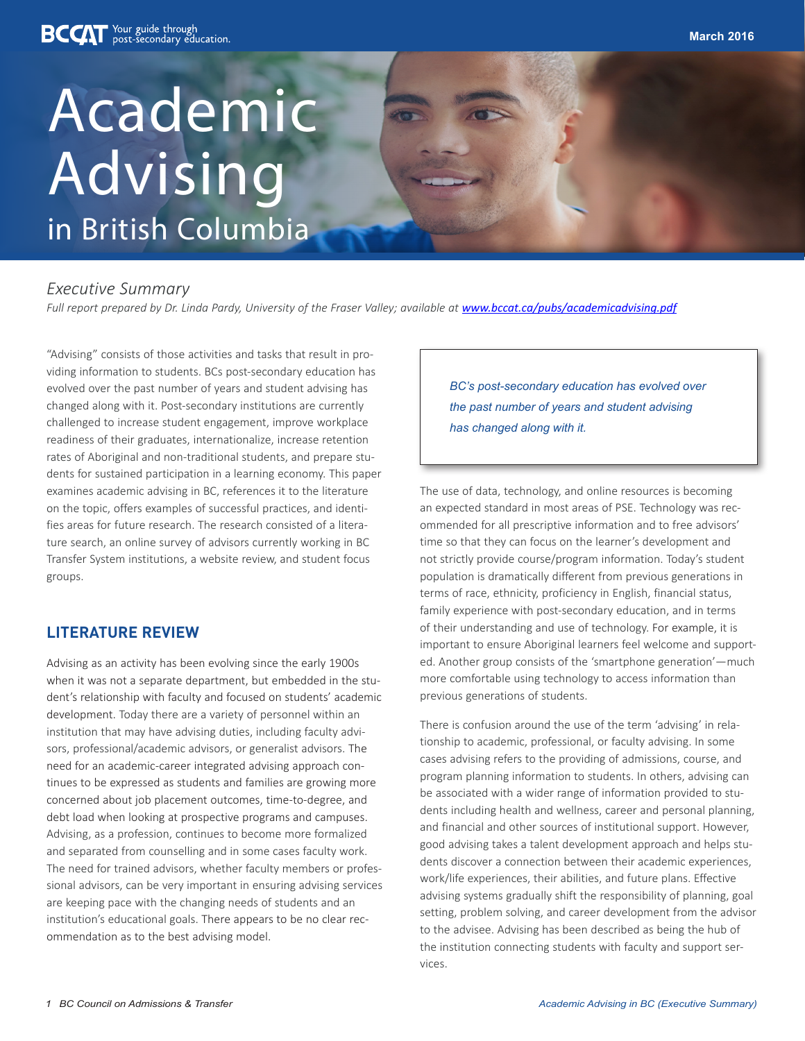# Academic Advising in British Columbia

### *Executive Summary*

*Full report prepared by Dr. Linda Pardy, University of the Fraser Valley; available at www.bccat.ca/pubs/academicadvising.pdf*

"Advising" consists of those activities and tasks that result in providing information to students. BCs post-secondary education has evolved over the past number of years and student advising has changed along with it. Post-secondary institutions are currently challenged to increase student engagement, improve workplace readiness of their graduates, internationalize, increase retention rates of Aboriginal and non-traditional students, and prepare students for sustained participation in a learning economy. This paper examines academic advising in BC, references it to the literature on the topic, offers examples of successful practices, and identifies areas for future research. The research consisted of a literature search, an online survey of advisors currently working in BC Transfer System institutions, a website review, and student focus groups.

### **LITERATURE REVIEW**

Advising as an activity has been evolving since the early 1900s when it was not a separate department, but embedded in the student's relationship with faculty and focused on students' academic development. Today there are a variety of personnel within an institution that may have advising duties, including faculty advisors, professional/academic advisors, or generalist advisors. The need for an academic-career integrated advising approach continues to be expressed as students and families are growing more concerned about job placement outcomes, time-to-degree, and debt load when looking at prospective programs and campuses. Advising, as a profession, continues to become more formalized and separated from counselling and in some cases faculty work. The need for trained advisors, whether faculty members or professional advisors, can be very important in ensuring advising services are keeping pace with the changing needs of students and an institution's educational goals. There appears to be no clear recommendation as to the best advising model.

*BC's post-secondary education has evolved over the past number of years and student advising has changed along with it.*

The use of data, technology, and online resources is becoming an expected standard in most areas of PSE. Technology was recommended for all prescriptive information and to free advisors' time so that they can focus on the learner's development and not strictly provide course/program information. Today's student population is dramatically different from previous generations in terms of race, ethnicity, proficiency in English, financial status, family experience with post-secondary education, and in terms of their understanding and use of technology. For example, it is important to ensure Aboriginal learners feel welcome and supported. Another group consists of the 'smartphone generation'—much more comfortable using technology to access information than previous generations of students.

There is confusion around the use of the term 'advising' in relationship to academic, professional, or faculty advising. In some cases advising refers to the providing of admissions, course, and program planning information to students. In others, advising can be associated with a wider range of information provided to students including health and wellness, career and personal planning, and financial and other sources of institutional support. However, good advising takes a talent development approach and helps students discover a connection between their academic experiences, work/life experiences, their abilities, and future plans. Effective advising systems gradually shift the responsibility of planning, goal setting, problem solving, and career development from the advisor to the advisee. Advising has been described as being the hub of the institution connecting students with faculty and support services.